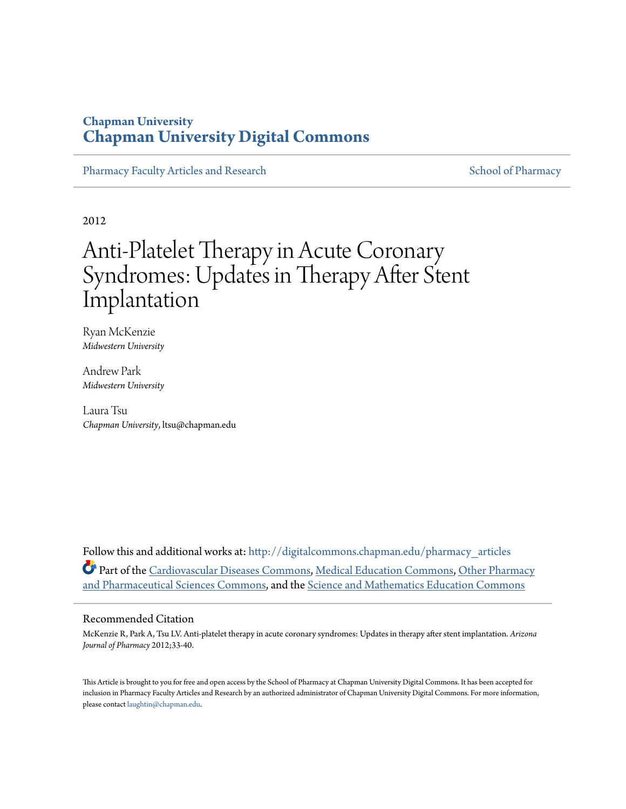## **Chapman University [Chapman University Digital Commons](http://digitalcommons.chapman.edu?utm_source=digitalcommons.chapman.edu%2Fpharmacy_articles%2F217&utm_medium=PDF&utm_campaign=PDFCoverPages)**

[Pharmacy Faculty Articles and Research](http://digitalcommons.chapman.edu/pharmacy_articles?utm_source=digitalcommons.chapman.edu%2Fpharmacy_articles%2F217&utm_medium=PDF&utm_campaign=PDFCoverPages) [School of Pharmacy](http://digitalcommons.chapman.edu/cusp?utm_source=digitalcommons.chapman.edu%2Fpharmacy_articles%2F217&utm_medium=PDF&utm_campaign=PDFCoverPages) Faculty Articles and Research School of Pharmacy

2012

# Anti-Platelet Therapy in Acute Coronary Syndromes: Updates in Therapy After Stent Implantation

Ryan McKenzie *Midwestern University*

Andrew Park *Midwestern University*

Laura Tsu *Chapman University*, ltsu@chapman.edu

Follow this and additional works at: [http://digitalcommons.chapman.edu/pharmacy\\_articles](http://digitalcommons.chapman.edu/pharmacy_articles?utm_source=digitalcommons.chapman.edu%2Fpharmacy_articles%2F217&utm_medium=PDF&utm_campaign=PDFCoverPages) Part of the [Cardiovascular Diseases Commons,](http://network.bepress.com/hgg/discipline/929?utm_source=digitalcommons.chapman.edu%2Fpharmacy_articles%2F217&utm_medium=PDF&utm_campaign=PDFCoverPages) [Medical Education Commons,](http://network.bepress.com/hgg/discipline/1125?utm_source=digitalcommons.chapman.edu%2Fpharmacy_articles%2F217&utm_medium=PDF&utm_campaign=PDFCoverPages) [Other Pharmacy](http://network.bepress.com/hgg/discipline/737?utm_source=digitalcommons.chapman.edu%2Fpharmacy_articles%2F217&utm_medium=PDF&utm_campaign=PDFCoverPages) [and Pharmaceutical Sciences Commons](http://network.bepress.com/hgg/discipline/737?utm_source=digitalcommons.chapman.edu%2Fpharmacy_articles%2F217&utm_medium=PDF&utm_campaign=PDFCoverPages), and the [Science and Mathematics Education Commons](http://network.bepress.com/hgg/discipline/800?utm_source=digitalcommons.chapman.edu%2Fpharmacy_articles%2F217&utm_medium=PDF&utm_campaign=PDFCoverPages)

#### Recommended Citation

McKenzie R, Park A, Tsu LV. Anti-platelet therapy in acute coronary syndromes: Updates in therapy after stent implantation. *Arizona Journal of Pharmacy* 2012;33-40.

This Article is brought to you for free and open access by the School of Pharmacy at Chapman University Digital Commons. It has been accepted for inclusion in Pharmacy Faculty Articles and Research by an authorized administrator of Chapman University Digital Commons. For more information, please contact [laughtin@chapman.edu.](mailto:laughtin@chapman.edu)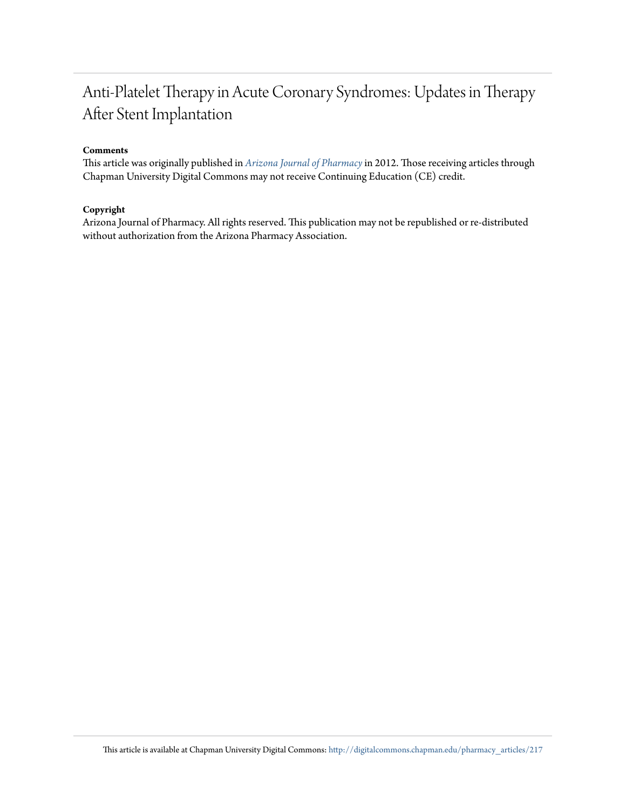# Anti-Platelet Therapy in Acute Coronary Syndromes: Updates in Therapy After Stent Implantation

#### **Comments**

This article was originally published in *[Arizona Journal of Pharmacy](http://www.azpharmacy.org/?page=AJP)*in 2012. Those receiving articles through Chapman University Digital Commons may not receive Continuing Education (CE) credit.

#### **Copyright**

Arizona Journal of Pharmacy. All rights reserved. This publication may not be republished or re-distributed without authorization from the Arizona Pharmacy Association.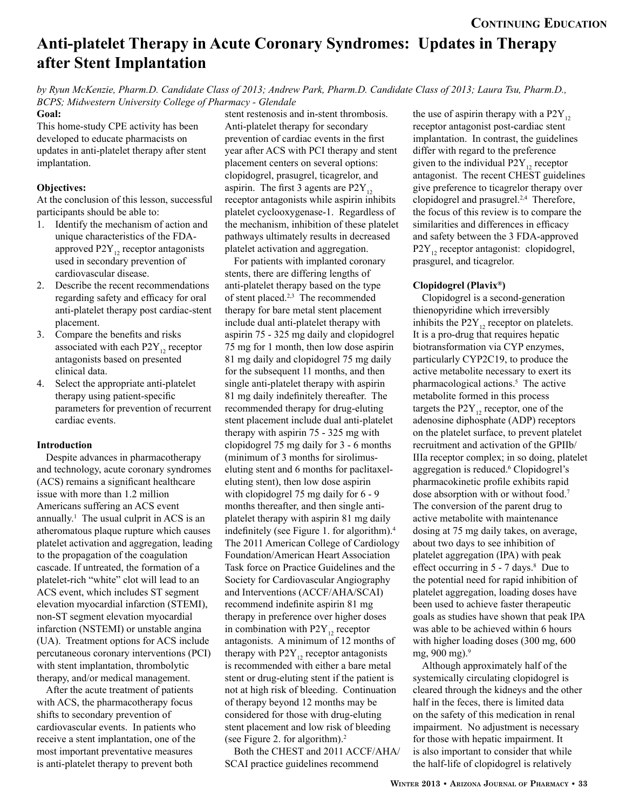# **Anti-platelet Therapy in Acute Coronary Syndromes: Updates in Therapy after Stent Implantation**

*by Ryun McKenzie, Pharm.D. Candidate Class of 2013; Andrew Park, Pharm.D. Candidate Class of 2013; Laura Tsu, Pharm.D., BCPS; Midwestern University College of Pharmacy - Glendale*

#### **Goal:**

This home-study CPE activity has been developed to educate pharmacists on updates in anti-platelet therapy after stent implantation.

#### **Objectives:**

At the conclusion of this lesson, successful participants should be able to:

- 1. Identify the mechanism of action and unique characteristics of the FDAapproved  $P2Y_{12}$  receptor antagonists used in secondary prevention of cardiovascular disease.
- 2. Describe the recent recommendations regarding safety and efficacy for oral anti-platelet therapy post cardiac-stent placement.
- 3. Compare the benefits and risks associated with each  $P2Y_{12}$  receptor antagonists based on presented clinical data.
- 4. Select the appropriate anti-platelet therapy using patient-specific parameters for prevention of recurrent cardiac events.

#### **Introduction**

Despite advances in pharmacotherapy and technology, acute coronary syndromes (ACS) remains a significant healthcare issue with more than 1.2 million Americans suffering an ACS event annually.<sup>1</sup> The usual culprit in ACS is an atheromatous plaque rupture which causes platelet activation and aggregation, leading to the propagation of the coagulation cascade. If untreated, the formation of a platelet-rich "white" clot will lead to an ACS event, which includes ST segment elevation myocardial infarction (STEMI), non-ST segment elevation myocardial infarction (NSTEMI) or unstable angina (UA). Treatment options for ACS include percutaneous coronary interventions (PCI) with stent implantation, thrombolytic therapy, and/or medical management.

After the acute treatment of patients with ACS, the pharmacotherapy focus shifts to secondary prevention of cardiovascular events. In patients who receive a stent implantation, one of the most important preventative measures is anti-platelet therapy to prevent both

stent restenosis and in-stent thrombosis. Anti-platelet therapy for secondary prevention of cardiac events in the first year after ACS with PCI therapy and stent placement centers on several options: clopidogrel, prasugrel, ticagrelor, and aspirin. The first 3 agents are  $P2Y_{12}$ receptor antagonists while aspirin inhibits platelet cyclooxygenase-1. Regardless of the mechanism, inhibition of these platelet pathways ultimately results in decreased platelet activation and aggregation.

For patients with implanted coronary stents, there are differing lengths of anti-platelet therapy based on the type of stent placed.2,3 The recommended therapy for bare metal stent placement include dual anti-platelet therapy with aspirin 75 - 325 mg daily and clopidogrel 75 mg for 1 month, then low dose aspirin 81 mg daily and clopidogrel 75 mg daily for the subsequent 11 months, and then single anti-platelet therapy with aspirin 81 mg daily indefinitely thereafter. The recommended therapy for drug-eluting stent placement include dual anti-platelet therapy with aspirin 75 - 325 mg with clopidogrel 75 mg daily for 3 - 6 months (minimum of 3 months for sirolimuseluting stent and 6 months for paclitaxeleluting stent), then low dose aspirin with clopidogrel 75 mg daily for 6 - 9 months thereafter, and then single antiplatelet therapy with aspirin 81 mg daily indefinitely (see Figure 1. for algorithm).4 The 2011 American College of Cardiology Foundation/American Heart Association Task force on Practice Guidelines and the Society for Cardiovascular Angiography and Interventions (ACCF/AHA/SCAI) recommend indefinite aspirin 81 mg therapy in preference over higher doses in combination with  $P2Y_{12}$  receptor antagonists. A minimum of 12 months of therapy with  $P2Y_{12}$  receptor antagonists is recommended with either a bare metal stent or drug-eluting stent if the patient is not at high risk of bleeding. Continuation of therapy beyond 12 months may be considered for those with drug-eluting stent placement and low risk of bleeding (see Figure 2. for algorithm).2

Both the CHEST and 2011 ACCF/AHA/ SCAI practice guidelines recommend

the use of aspirin therapy with a  $P2Y_{12}$ receptor antagonist post-cardiac stent implantation. In contrast, the guidelines differ with regard to the preference given to the individual  $P2Y_{12}$  receptor antagonist. The recent CHEST guidelines give preference to ticagrelor therapy over clopidogrel and prasugrel.2,4 Therefore, the focus of this review is to compare the similarities and differences in efficacy and safety between the 3 FDA-approved  $P2Y_{12}$  receptor antagonist: clopidogrel, prasgurel, and ticagrelor.

#### **Clopidogrel (Plavix®)**

Clopidogrel is a second-generation thienopyridine which irreversibly inhibits the  $P2Y_{12}$  receptor on platelets. It is a pro-drug that requires hepatic biotransformation via CYP enzymes, particularly CYP2C19, to produce the active metabolite necessary to exert its pharmacological actions.5 The active metabolite formed in this process targets the  $P2Y_{12}$  receptor, one of the adenosine diphosphate (ADP) receptors on the platelet surface, to prevent platelet recruitment and activation of the GPIIb/ IIIa receptor complex; in so doing, platelet aggregation is reduced.6 Clopidogrel's pharmacokinetic profile exhibits rapid dose absorption with or without food.7 The conversion of the parent drug to active metabolite with maintenance dosing at 75 mg daily takes, on average, about two days to see inhibition of platelet aggregation (IPA) with peak effect occurring in  $5 - 7$  days.<sup>8</sup> Due to the potential need for rapid inhibition of platelet aggregation, loading doses have been used to achieve faster therapeutic goals as studies have shown that peak IPA was able to be achieved within 6 hours with higher loading doses (300 mg, 600 mg, 900 mg).9

Although approximately half of the systemically circulating clopidogrel is cleared through the kidneys and the other half in the feces, there is limited data on the safety of this medication in renal impairment. No adjustment is necessary for those with hepatic impairment. It is also important to consider that while the half-life of clopidogrel is relatively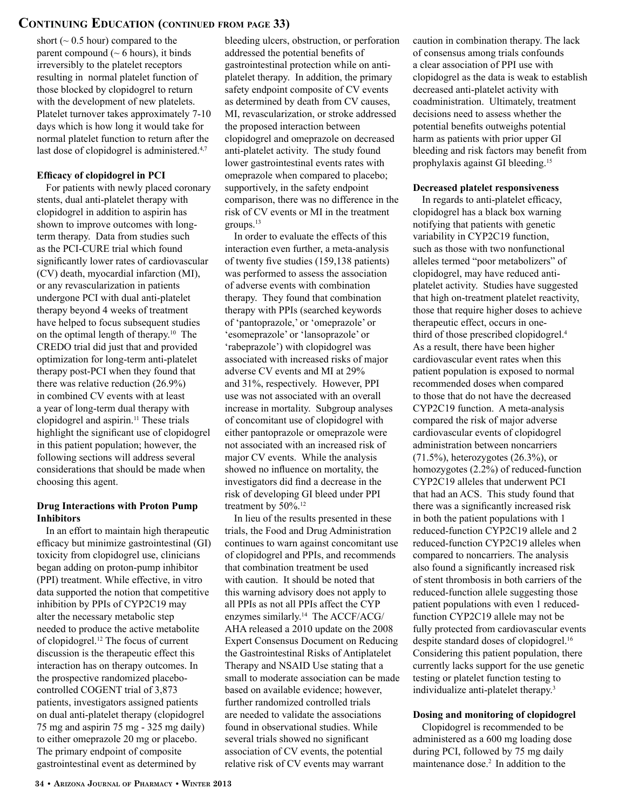### **Continuing Education (continued from page 33)**

short ( $\sim 0.5$  hour) compared to the parent compound  $(~6$  hours), it binds irreversibly to the platelet receptors resulting in normal platelet function of those blocked by clopidogrel to return with the development of new platelets. Platelet turnover takes approximately 7-10 days which is how long it would take for normal platelet function to return after the last dose of clopidogrel is administered.<sup>4,7</sup>

#### **Efficacy of clopidogrel in PCI**

For patients with newly placed coronary stents, dual anti-platelet therapy with clopidogrel in addition to aspirin has shown to improve outcomes with longterm therapy. Data from studies such as the PCI-CURE trial which found significantly lower rates of cardiovascular (CV) death, myocardial infarction (MI), or any revascularization in patients undergone PCI with dual anti-platelet therapy beyond 4 weeks of treatment have helped to focus subsequent studies on the optimal length of therapy.10 The CREDO trial did just that and provided optimization for long-term anti-platelet therapy post-PCI when they found that there was relative reduction (26.9%) in combined CV events with at least a year of long-term dual therapy with clopidogrel and aspirin.<sup>11</sup> These trials highlight the significant use of clopidogrel in this patient population; however, the following sections will address several considerations that should be made when choosing this agent.

#### **Drug Interactions with Proton Pump Inhibitors**

In an effort to maintain high therapeutic efficacy but minimize gastrointestinal (GI) toxicity from clopidogrel use, clinicians began adding on proton-pump inhibitor (PPI) treatment. While effective, in vitro data supported the notion that competitive inhibition by PPIs of CYP2C19 may alter the necessary metabolic step needed to produce the active metabolite of clopidogrel.12 The focus of current discussion is the therapeutic effect this interaction has on therapy outcomes. In the prospective randomized placebocontrolled COGENT trial of 3,873 patients, investigators assigned patients on dual anti-platelet therapy (clopidogrel 75 mg and aspirin 75 mg - 325 mg daily) to either omeprazole 20 mg or placebo. The primary endpoint of composite gastrointestinal event as determined by

bleeding ulcers, obstruction, or perforation addressed the potential benefits of gastrointestinal protection while on antiplatelet therapy. In addition, the primary safety endpoint composite of CV events as determined by death from CV causes, MI, revascularization, or stroke addressed the proposed interaction between clopidogrel and omeprazole on decreased anti-platelet activity. The study found lower gastrointestinal events rates with omeprazole when compared to placebo; supportively, in the safety endpoint comparison, there was no difference in the risk of CV events or MI in the treatment groups.13

In order to evaluate the effects of this interaction even further, a meta-analysis of twenty five studies (159,138 patients) was performed to assess the association of adverse events with combination therapy. They found that combination therapy with PPIs (searched keywords of 'pantoprazole,' or 'omeprazole' or 'esomeprazole' or 'lansoprazole' or 'rabeprazole') with clopidogrel was associated with increased risks of major adverse CV events and MI at 29% and 31%, respectively. However, PPI use was not associated with an overall increase in mortality. Subgroup analyses of concomitant use of clopidogrel with either pantoprazole or omeprazole were not associated with an increased risk of major CV events. While the analysis showed no influence on mortality, the investigators did find a decrease in the risk of developing GI bleed under PPI treatment by 50%.<sup>12</sup>

In lieu of the results presented in these trials, the Food and Drug Administration continues to warn against concomitant use of clopidogrel and PPIs, and recommends that combination treatment be used with caution. It should be noted that this warning advisory does not apply to all PPIs as not all PPIs affect the CYP enzymes similarly.<sup>14</sup> The ACCF/ACG/ AHA released a 2010 update on the 2008 Expert Consensus Document on Reducing the Gastrointestinal Risks of Antiplatelet Therapy and NSAID Use stating that a small to moderate association can be made based on available evidence; however, further randomized controlled trials are needed to validate the associations found in observational studies. While several trials showed no significant association of CV events, the potential relative risk of CV events may warrant

caution in combination therapy. The lack of consensus among trials confounds a clear association of PPI use with clopidogrel as the data is weak to establish decreased anti-platelet activity with coadministration. Ultimately, treatment decisions need to assess whether the potential benefits outweighs potential harm as patients with prior upper GI bleeding and risk factors may benefit from prophylaxis against GI bleeding.15

#### **Decreased platelet responsiveness**

In regards to anti-platelet efficacy, clopidogrel has a black box warning notifying that patients with genetic variability in CYP2C19 function, such as those with two nonfunctional alleles termed "poor metabolizers" of clopidogrel, may have reduced antiplatelet activity. Studies have suggested that high on-treatment platelet reactivity, those that require higher doses to achieve therapeutic effect, occurs in onethird of those prescribed clopidogrel.4 As a result, there have been higher cardiovascular event rates when this patient population is exposed to normal recommended doses when compared to those that do not have the decreased CYP2C19 function. A meta-analysis compared the risk of major adverse cardiovascular events of clopidogrel administration between noncarriers  $(71.5\%)$ , heterozygotes  $(26.3\%)$ , or homozygotes (2.2%) of reduced-function CYP2C19 alleles that underwent PCI that had an ACS. This study found that there was a significantly increased risk in both the patient populations with 1 reduced-function CYP2C19 allele and 2 reduced-function CYP2C19 alleles when compared to noncarriers. The analysis also found a significantly increased risk of stent thrombosis in both carriers of the reduced-function allele suggesting those patient populations with even 1 reducedfunction CYP2C19 allele may not be fully protected from cardiovascular events despite standard doses of clopidogrel.<sup>16</sup> Considering this patient population, there currently lacks support for the use genetic testing or platelet function testing to individualize anti-platelet therapy.3

#### **Dosing and monitoring of clopidogrel**

Clopidogrel is recommended to be administered as a 600 mg loading dose during PCI, followed by 75 mg daily maintenance dose.<sup>2</sup> In addition to the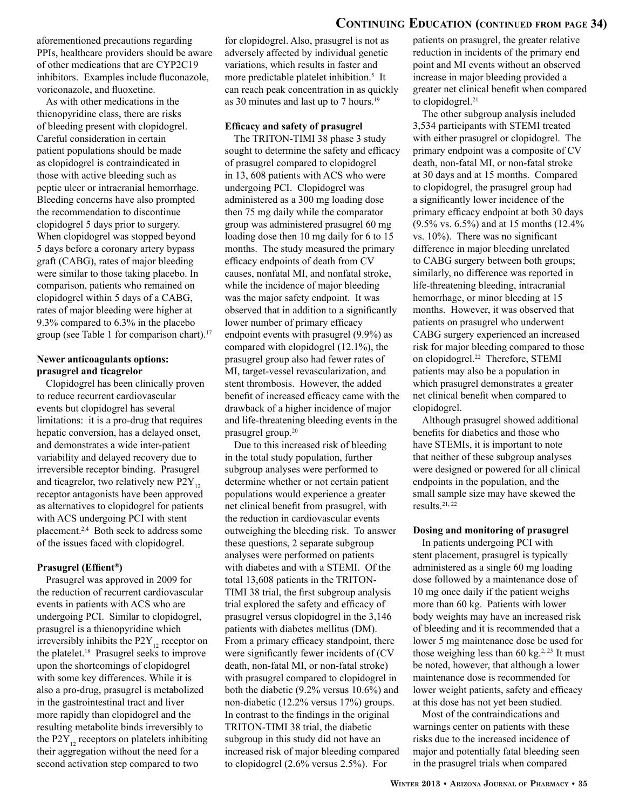### **Continuing Education (continued from page 34)**

aforementioned precautions regarding PPIs, healthcare providers should be aware of other medications that are CYP2C19 inhibitors. Examples include fluconazole, voriconazole, and fluoxetine.

As with other medications in the thienopyridine class, there are risks of bleeding present with clopidogrel. Careful consideration in certain patient populations should be made as clopidogrel is contraindicated in those with active bleeding such as peptic ulcer or intracranial hemorrhage. Bleeding concerns have also prompted the recommendation to discontinue clopidogrel 5 days prior to surgery. When clopidogrel was stopped beyond 5 days before a coronary artery bypass graft (CABG), rates of major bleeding were similar to those taking placebo. In comparison, patients who remained on clopidogrel within 5 days of a CABG, rates of major bleeding were higher at 9.3% compared to 6.3% in the placebo group (see Table 1 for comparison chart).17

#### **Newer anticoagulants options: prasugrel and ticagrelor**

Clopidogrel has been clinically proven to reduce recurrent cardiovascular events but clopidogrel has several limitations: it is a pro-drug that requires hepatic conversion, has a delayed onset, and demonstrates a wide inter-patient variability and delayed recovery due to irreversible receptor binding. Prasugrel and ticagrelor, two relatively new  $P2Y_{12}$ receptor antagonists have been approved as alternatives to clopidogrel for patients with ACS undergoing PCI with stent placement.2,4 Both seek to address some of the issues faced with clopidogrel.

#### **Prasugrel (Effient®)**

Prasugrel was approved in 2009 for the reduction of recurrent cardiovascular events in patients with ACS who are undergoing PCI. Similar to clopidogrel, prasugrel is a thienopyridine which irreversibly inhibits the  $P2Y_{12}$  receptor on the platelet.18 Prasugrel seeks to improve upon the shortcomings of clopidogrel with some key differences. While it is also a pro-drug, prasugrel is metabolized in the gastrointestinal tract and liver more rapidly than clopidogrel and the resulting metabolite binds irreversibly to the P2Y<sub>12</sub> receptors on platelets inhibiting their aggregation without the need for a second activation step compared to two

for clopidogrel. Also, prasugrel is not as adversely affected by individual genetic variations, which results in faster and more predictable platelet inhibition.<sup>5</sup> It can reach peak concentration in as quickly as 30 minutes and last up to 7 hours.<sup>19</sup>

#### **Efficacy and safety of prasugrel**

The TRITON-TIMI 38 phase 3 study sought to determine the safety and efficacy of prasugrel compared to clopidogrel in 13, 608 patients with ACS who were undergoing PCI. Clopidogrel was administered as a 300 mg loading dose then 75 mg daily while the comparator group was administered prasugrel 60 mg loading dose then 10 mg daily for 6 to 15 months. The study measured the primary efficacy endpoints of death from CV causes, nonfatal MI, and nonfatal stroke, while the incidence of major bleeding was the major safety endpoint. It was observed that in addition to a significantly lower number of primary efficacy endpoint events with prasugrel (9.9%) as compared with clopidogrel (12.1%), the prasugrel group also had fewer rates of MI, target-vessel revascularization, and stent thrombosis. However, the added benefit of increased efficacy came with the drawback of a higher incidence of major and life-threatening bleeding events in the prasugrel group.20

Due to this increased risk of bleeding in the total study population, further subgroup analyses were performed to determine whether or not certain patient populations would experience a greater net clinical benefit from prasugrel, with the reduction in cardiovascular events outweighing the bleeding risk. To answer these questions, 2 separate subgroup analyses were performed on patients with diabetes and with a STEMI. Of the total 13,608 patients in the TRITON-TIMI 38 trial, the first subgroup analysis trial explored the safety and efficacy of prasugrel versus clopidogrel in the 3,146 patients with diabetes mellitus (DM). From a primary efficacy standpoint, there were significantly fewer incidents of (CV death, non-fatal MI, or non-fatal stroke) with prasugrel compared to clopidogrel in both the diabetic (9.2% versus 10.6%) and non-diabetic (12.2% versus 17%) groups. In contrast to the findings in the original TRITON-TIMI 38 trial, the diabetic subgroup in this study did not have an increased risk of major bleeding compared to clopidogrel (2.6% versus 2.5%). For

patients on prasugrel, the greater relative reduction in incidents of the primary end point and MI events without an observed increase in major bleeding provided a greater net clinical benefit when compared to clopidogrel.<sup>21</sup>

The other subgroup analysis included 3,534 participants with STEMI treated with either prasugrel or clopidogrel. The primary endpoint was a composite of CV death, non-fatal MI, or non-fatal stroke at 30 days and at 15 months. Compared to clopidogrel, the prasugrel group had a significantly lower incidence of the primary efficacy endpoint at both 30 days (9.5% vs. 6.5%) and at 15 months (12.4% vs. 10%). There was no significant difference in major bleeding unrelated to CABG surgery between both groups; similarly, no difference was reported in life-threatening bleeding, intracranial hemorrhage, or minor bleeding at 15 months. However, it was observed that patients on prasugrel who underwent CABG surgery experienced an increased risk for major bleeding compared to those on clopidogrel.22 Therefore, STEMI patients may also be a population in which prasugrel demonstrates a greater net clinical benefit when compared to clopidogrel.

Although prasugrel showed additional benefits for diabetics and those who have STEMIs, it is important to note that neither of these subgroup analyses were designed or powered for all clinical endpoints in the population, and the small sample size may have skewed the results.21, 22

#### **Dosing and monitoring of prasugrel**

In patients undergoing PCI with stent placement, prasugrel is typically administered as a single 60 mg loading dose followed by a maintenance dose of 10 mg once daily if the patient weighs more than 60 kg. Patients with lower body weights may have an increased risk of bleeding and it is recommended that a lower 5 mg maintenance dose be used for those weighing less than 60 kg $^{2,23}$  It must be noted, however, that although a lower maintenance dose is recommended for lower weight patients, safety and efficacy at this dose has not yet been studied.

Most of the contraindications and warnings center on patients with these risks due to the increased incidence of major and potentially fatal bleeding seen in the prasugrel trials when compared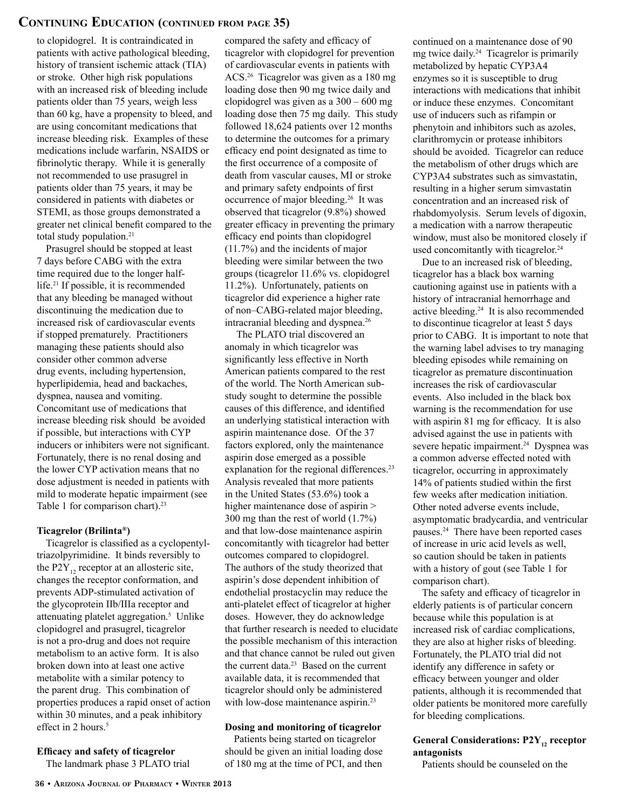### **Continuing Education (continued from page 35)**

to clopidogrel. It is contraindicated in patients with active pathological bleeding, history of transient ischemic attack (TIA) or stroke. Other high risk populations with an increased risk of bleeding include patients older than 75 years, weigh less than 60 kg, have a propensity to bleed, and are using concomitant medications that increase bleeding risk. Examples of these medications include warfarin, NSAIDS or fibrinolytic therapy. While it is generally not recommended to use prasugrel in patients older than 75 years, it may be considered in patients with diabetes or STEMI, as those groups demonstrated a greater net clinical benefit compared to the total study population.<sup>21</sup>

Prasugrel should be stopped at least 7 days before CABG with the extra time required due to the longer halflife.21 If possible, it is recommended that any bleeding be managed without discontinuing the medication due to increased risk of cardiovascular events if stopped prematurely. Practitioners managing these patients should also consider other common adverse drug events, including hypertension, hyperlipidemia, head and backaches, dyspnea, nausea and vomiting. Concomitant use of medications that increase bleeding risk should be avoided if possible, but interactions with CYP inducers or inhibiters were not significant. Fortunately, there is no renal dosing and the lower CYP activation means that no dose adjustment is needed in patients with mild to moderate hepatic impairment (see Table 1 for comparison chart).<sup>23</sup>

#### **Ticagrelor (Brilinta®)**

Ticagrelor is classified as a cyclopentyltriazolpyrimidine. It binds reversibly to the P2Y<sub>12</sub> receptor at an allosteric site, changes the receptor conformation, and prevents ADP-stimulated activation of the glycoprotein IIb/IIIa receptor and attenuating platelet aggregation.<sup>5</sup> Unlike clopidogrel and prasugrel, ticagrelor is not a pro-drug and does not require metabolism to an active form. It is also broken down into at least one active metabolite with a similar potency to the parent drug. This combination of properties produces a rapid onset of action within 30 minutes, and a peak inhibitory effect in 2 hours.<sup>5</sup>

#### **Efficacy and safety of ticagrelor**

The landmark phase 3 PLATO trial

compared the safety and efficacy of ticagrelor with clopidogrel for prevention of cardiovascular events in patients with ACS.26 Ticagrelor was given as a 180 mg loading dose then 90 mg twice daily and clopidogrel was given as a 300 – 600 mg loading dose then 75 mg daily. This study followed 18,624 patients over 12 months to determine the outcomes for a primary efficacy end point designated as time to the first occurrence of a composite of death from vascular causes, MI or stroke and primary safety endpoints of first occurrence of major bleeding.26 It was observed that ticagrelor (9.8%) showed greater efficacy in preventing the primary efficacy end points than clopidogrel (11.7%) and the incidents of major bleeding were similar between the two groups (ticagrelor 11.6% vs. clopidogrel 11.2%). Unfortunately, patients on ticagrelor did experience a higher rate of non–CABG-related major bleeding, intracranial bleeding and dyspnea.26

 The PLATO trial discovered an anomaly in which ticagrelor was significantly less effective in North American patients compared to the rest of the world. The North American substudy sought to determine the possible causes of this difference, and identified an underlying statistical interaction with aspirin maintenance dose. Of the 37 factors explored, only the maintenance aspirin dose emerged as a possible explanation for the regional differences.<sup>23</sup> Analysis revealed that more patients in the United States (53.6%) took a higher maintenance dose of aspirin > 300 mg than the rest of world (1.7%) and that low-dose maintenance aspirin concomitantly with ticagrelor had better outcomes compared to clopidogrel. The authors of the study theorized that aspirin's dose dependent inhibition of endothelial prostacyclin may reduce the anti-platelet effect of ticagrelor at higher doses. However, they do acknowledge that further research is needed to elucidate the possible mechanism of this interaction and that chance cannot be ruled out given the current data.<sup>23</sup> Based on the current available data, it is recommended that ticagrelor should only be administered with low-dose maintenance aspirin.<sup>23</sup>

#### **Dosing and monitoring of ticagrelor**

Patients being started on ticagrelor should be given an initial loading dose of 180 mg at the time of PCI, and then continued on a maintenance dose of 90 mg twice daily.24 Ticagrelor is primarily metabolized by hepatic CYP3A4 enzymes so it is susceptible to drug interactions with medications that inhibit or induce these enzymes. Concomitant use of inducers such as rifampin or phenytoin and inhibitors such as azoles, clarithromycin or protease inhibitors should be avoided. Ticagrelor can reduce the metabolism of other drugs which are CYP3A4 substrates such as simvastatin, resulting in a higher serum simvastatin concentration and an increased risk of rhabdomyolysis. Serum levels of digoxin, a medication with a narrow therapeutic window, must also be monitored closely if used concomitantly with ticagrelor.<sup>24</sup>

Due to an increased risk of bleeding, ticagrelor has a black box warning cautioning against use in patients with a history of intracranial hemorrhage and active bleeding.24 It is also recommended to discontinue ticagrelor at least 5 days prior to CABG. It is important to note that the warning label advises to try managing bleeding episodes while remaining on ticagrelor as premature discontinuation increases the risk of cardiovascular events. Also included in the black box warning is the recommendation for use with aspirin 81 mg for efficacy. It is also advised against the use in patients with severe hepatic impairment.<sup>24</sup> Dyspnea was a common adverse effected noted with ticagrelor, occurring in approximately 14% of patients studied within the first few weeks after medication initiation. Other noted adverse events include, asymptomatic bradycardia, and ventricular pauses.24 There have been reported cases of increase in uric acid levels as well, so caution should be taken in patients with a history of gout (see Table 1 for comparison chart).

The safety and efficacy of ticagrelor in elderly patients is of particular concern because while this population is at increased risk of cardiac complications, they are also at higher risks of bleeding. Fortunately, the PLATO trial did not identify any difference in safety or efficacy between younger and older patients, although it is recommended that older patients be monitored more carefully for bleeding complications.

#### **General Considerations: P2Y<sub>12</sub> receptor antagonists**

Patients should be counseled on the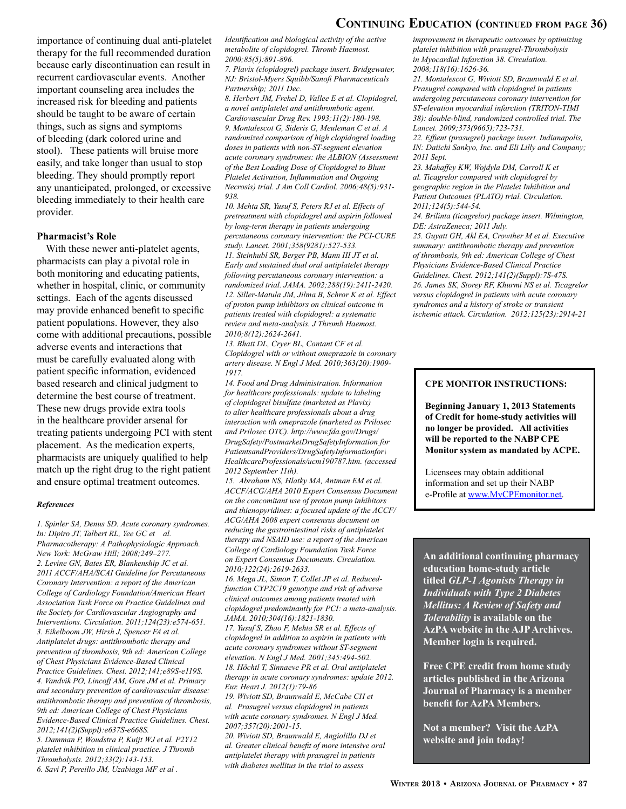### **Continuing Education (continued from page 36)**

importance of continuing dual anti-platelet therapy for the full recommended duration because early discontinuation can result in recurrent cardiovascular events. Another important counseling area includes the increased risk for bleeding and patients should be taught to be aware of certain things, such as signs and symptoms of bleeding (dark colored urine and stool). These patients will bruise more easily, and take longer than usual to stop bleeding. They should promptly report any unanticipated, prolonged, or excessive bleeding immediately to their health care provider.

#### **Pharmacist's Role**

With these newer anti-platelet agents, pharmacists can play a pivotal role in both monitoring and educating patients, whether in hospital, clinic, or community settings. Each of the agents discussed may provide enhanced benefit to specific patient populations. However, they also come with additional precautions, possible adverse events and interactions that must be carefully evaluated along with patient specific information, evidenced based research and clinical judgment to determine the best course of treatment. These new drugs provide extra tools in the healthcare provider arsenal for treating patients undergoing PCI with stent placement. As the medication experts, pharmacists are uniquely qualified to help match up the right drug to the right patient and ensure optimal treatment outcomes.

#### *References*

*1. Spinler SA, Denus SD. Acute coronary syndromes. In: Dipiro JT, Talbert RL, Yee GC et al. Pharmacotherapy: A Pathophysiologic Approach. New York: McGraw Hill; 2008;249–277. 2. Levine GN, Bates ER, Blankenship JC et al. 2011 ACCF/AHA/SCAI Guideline for Percutaneous Coronary Intervention: a report of the American College of Cardiology Foundation/American Heart Association Task Force on Practice Guidelines and the Society for Cardiovascular Angiography and Interventions. Circulation. 2011;124(23):e574-651. 3. Eikelboom JW, Hirsh J, Spencer FA et al. Antiplatelet drugs: antithrombotic therapy and prevention of thrombosis, 9th ed: American College of Chest Physicians Evidence-Based Clinical Practice Guidelines. Chest. 2012;141;e89S-e119S. 4. Vandvik PO, Lincoff AM, Gore JM et al. Primary and secondary prevention of cardiovascular disease: antithrombotic therapy and prevention of thrombosis, 9th ed: American College of Chest Physicians Evidence-Based Clinical Practice Guidelines. Chest. 2012;141(2)(Suppl):e637S-e668S. 5. Damman P, Woudstra P, Kuijt WJ et al. P2Y12 platelet inhibition in clinical practice. J Thromb Thrombolysis. 2012;33(2):143-153. 6. Savi P, Pereillo JM, Uzabiaga MF et al .* 

*Identification and biological activity of the active metabolite of clopidogrel. Thromb Haemost. 2000;85(5):891-896.*

*7. Plavix (clopidogrel) package insert. Bridgewater, NJ: Bristol-Myers Squibb/Sanofi Pharmaceuticals Partnership; 2011 Dec.*

*8. Herbert JM, Frehel D, Vallee E et al. Clopidogrel, a novel antiplatelet and antithrombotic agent. Cardiovascular Drug Rev. 1993;11(2):180-198. 9. Montalescot G, Sideris G, Meuleman C et al. A randomized comparison of high clopidogrel loading doses in patients with non-ST-segment elevation acute coronary syndromes: the ALBION (Assessment of the Best Loading Dose of Clopidogrel to Blunt Platelet Activation, Inflammation and Ongoing Necrosis) trial. J Am Coll Cardiol. 2006;48(5):931- 938.* 

*10. Mehta SR, Yusuf S, Peters RJ et al. Effects of pretreatment with clopidogrel and aspirin followed by long-term therapy in patients undergoing percutaneous coronary intervention: the PCI-CURE study. Lancet. 2001;358(9281):527-533. 11. Steinhubl SR, Berger PB, Mann III JT et al. Early and sustained dual oral antiplatelet therapy following percutaneous coronary intervention: a randomized trial. JAMA. 2002;288(19):2411-2420. 12. Siller-Matula JM, Jilma B, Schror K et al. Effect of proton pump inhibitors on clinical outcome in patients treated with clopidogrel: a systematic review and meta-analysis. J Thromb Haemost. 2010;8(12):2624-2641.*

*13. Bhatt DL, Cryer BL, Contant CF et al. Clopidogrel with or without omeprazole in coronary artery disease. N Engl J Med. 2010;363(20):1909- 1917.* 

*14. Food and Drug Administration. Information for healthcare professionals: update to labeling of clopidogrel bisulfate (marketed as Plavix) to alter healthcare professionals about a drug interaction with omeprazole (marketed as Prilosec and Prilosec OTC). http://www.fda.gov/Drugs/ DrugSafety/PostmarketDrugSafetyInformation for PatientsandProviders/DrugSafetyInformationfor\ HealthcareProfessionals/ucm190787.htm. (accessed 2012 September 11th).*

*15. Abraham NS, Hlatky MA, Antman EM et al. ACCF/ACG/AHA 2010 Expert Consensus Document on the concomitant use of proton pump inhibitors and thienopyridines: a focused update of the ACCF/ ACG/AHA 2008 expert consensus document on reducing the gastrointestinal risks of antiplatelet therapy and NSAID use: a report of the American College of Cardiology Foundation Task Force on Expert Consensus Documents. Circulation. 2010;122(24):2619-2633.*

*16. Mega JL, Simon T, Collet JP et al. Reducedfunction CYP2C19 genotype and risk of adverse clinical outcomes among patients treated with clopidogrel predominantly for PCI: a meta-analysis. JAMA. 2010;304(16):1821-1830.* 

*17. Yusuf S, Zhao F, Mehta SR et al. Effects of clopidogrel in addition to aspirin in patients with acute coronary syndromes without ST-segment elevation. N Engl J Med. 2001;345:494-502. 18. Höchtl T, Sinnaeve PR et al. Oral antiplatelet therapy in acute coronary syndromes: update 2012. Eur. Heart J. 2012(1):79-86*

*19. Wiviott SD, Braunwald E, McCabe CH et al. Prasugrel versus clopidogrel in patients with acute coronary syndromes. N Engl J Med. 2007;357(20):2001-15.* 

*20. Wiviott SD, Braunwald E, Angiolillo DJ et al. Greater clinical benefit of more intensive oral antiplatelet therapy with prasugrel in patients with diabetes mellitus in the trial to assess* 

*improvement in therapeutic outcomes by optimizing platelet inhibition with prasugrel-Thrombolysis in Myocardial Infarction 38. Circulation. 2008;118(16):1626-36.*

*21. Montalescot G, Wiviott SD, Braunwald E et al. Prasugrel compared with clopidogrel in patients undergoing percutaneous coronary intervention for ST-elevation myocardial infarction (TRITON-TIMI 38): double-blind, randomized controlled trial. The Lancet. 2009;373(9665);723-731.*

*22. Effient (prasugrel) package insert. Indianapolis, IN: Daiichi Sankyo, Inc. and Eli Lilly and Company; 2011 Sept.*

*23. Mahaffey KW, Wojdyla DM, Carroll K et al. Ticagrelor compared with clopidogrel by geographic region in the Platelet Inhibition and Patient Outcomes (PLATO) trial. Circulation. 2011;124(5):544-54.*

*24. Brilinta (ticagrelor) package insert. Wilmington, DE: AstraZeneca; 2011 July.*

*25. Guyatt GH, Akl EA, Crowther M et al. Executive summary: antithrombotic therapy and prevention of thrombosis, 9th ed: American College of Chest Physicians Evidence-Based Clinical Practice Guidelines. Chest. 2012;141(2)(Suppl):7S-47S. 26. James SK, Storey RF, Khurmi NS et al. Ticagrelor versus clopidogrel in patients with acute coronary syndromes and a history of stroke or transient ischemic attack. Circulation. 2012;125(23):2914-21*

#### **CPE MONITOR INSTRUCTIONS:**

**Beginning January 1, 2013 Statements of Credit for home-study activities will no longer be provided. All activities will be reported to the NABP CPE Monitor system as mandated by ACPE.** 

Licensees may obtain additional information and set up their NABP e-Profile at www.MyCPEmonitor.net.

**An additional continuing pharmacy education home-study article titled** *GLP-1 Agonists Therapy in Individuals with Type 2 Diabetes Mellitus: A Review of Safety and Tolerability* **is available on the AzPA website in the AJP Archives. Member login is required.** 

**Free CPE credit from home study articles published in the Arizona Journal of Pharmacy is a member benefit for AzPA Members.**

**Not a member? Visit the AzPA website and join today!**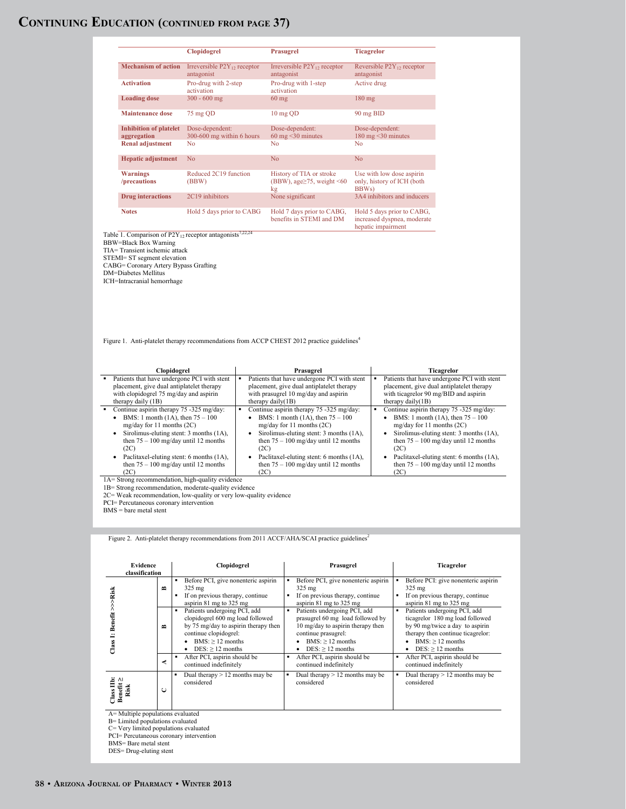# **Continuing Education (continued from page 37)**

|                                                                                                                                                                                                                                                                                   | Clopidogrel                                    | Prasugrel                                                                                                                                             | <b>Ticagrelor</b>                                                                                                                                      |                   |
|-----------------------------------------------------------------------------------------------------------------------------------------------------------------------------------------------------------------------------------------------------------------------------------|------------------------------------------------|-------------------------------------------------------------------------------------------------------------------------------------------------------|--------------------------------------------------------------------------------------------------------------------------------------------------------|-------------------|
| <b>Mechanism of action</b>                                                                                                                                                                                                                                                        | Irreversible $P2Y_{12}$ receptor<br>antagonist | Irreversible P2Y <sub>12</sub> receptor<br>antagonist                                                                                                 | Reversible P2Y <sub>12</sub> receptor<br>antagonist                                                                                                    |                   |
| <b>Activation</b>                                                                                                                                                                                                                                                                 | Pro-drug with 2-step<br>activation             | Pro-drug with 1-step<br>activation                                                                                                                    | Active drug                                                                                                                                            |                   |
| <b>Loading dose</b>                                                                                                                                                                                                                                                               | $300 - 600$ mg                                 | $60$ mg                                                                                                                                               | $180$ mg                                                                                                                                               |                   |
| <b>Maintenance dose</b>                                                                                                                                                                                                                                                           | 75 mg QD                                       | 10 mg QD                                                                                                                                              | 90 mg BID                                                                                                                                              |                   |
| <b>Inhibition of platelet</b><br>aggregation                                                                                                                                                                                                                                      | Dose-dependent:<br>300-600 mg within 6 hours   | Dose-dependent:<br>$60 \text{ mg} \leq 30 \text{ minutes}$                                                                                            | Dose-dependent:<br>180 mg < 30 minutes                                                                                                                 |                   |
| <b>Renal adjustment</b>                                                                                                                                                                                                                                                           | No                                             | No                                                                                                                                                    | No                                                                                                                                                     |                   |
| <b>Hepatic adjustment</b>                                                                                                                                                                                                                                                         | N <sub>o</sub>                                 | N <sub>o</sub>                                                                                                                                        | N <sub>o</sub>                                                                                                                                         |                   |
| <b>Warnings</b><br>/precautions                                                                                                                                                                                                                                                   | Reduced 2C19 function<br>(BBW)                 | History of TIA or stroke<br>(BBW), age <sub>275</sub> , weight <60<br>kg                                                                              | Use with low dose aspirin<br>only, history of ICH (both<br>BBWs)                                                                                       |                   |
| <b>Drug</b> interactions                                                                                                                                                                                                                                                          | 2C19 inhibitors                                | None significant                                                                                                                                      | 3A4 inhibitors and inducers                                                                                                                            |                   |
| <b>Notes</b>                                                                                                                                                                                                                                                                      | Hold 5 days prior to CABG                      | Hold 7 days prior to CABG,<br>benefits in STEMI and DM                                                                                                | Hold 5 days prior to CABG,<br>increased dyspnea, moderate<br>hepatic impairment                                                                        |                   |
| Table 1. Comparison of P2Y <sub>12</sub> receptor antagonists <sup>7,22,24</sup><br><b>BBW=Black Box Warning</b><br>TIA= Transient ischemic attack<br>STEMI= ST segment elevation<br>CABG= Coronary Artery Bypass Grafting<br>DM=Diabetes Mellitus<br>ICH=Intracranial hemorrhage |                                                |                                                                                                                                                       |                                                                                                                                                        |                   |
|                                                                                                                                                                                                                                                                                   |                                                | Figure 1. Anti-platelet therapy recommendations from ACCP CHEST 2012 practice guidelines <sup>4</sup>                                                 |                                                                                                                                                        |                   |
| Clopidogrel                                                                                                                                                                                                                                                                       |                                                | Prasugrel                                                                                                                                             |                                                                                                                                                        | <b>Ticagrelor</b> |
| Patients that have undergone PCI with stent<br>placement, give dual antiplatelet therapy<br>with clopidogrel 75 mg/day and aspirin<br>therapy daily (1B)                                                                                                                          |                                                | Patients that have undergone PCI with stent<br>placement, give dual antiplatelet therapy<br>with prasugrel 10 mg/day and aspirin<br>therapy daily(1B) | Patients that have undergone PCI with stent<br>placement, give dual antiplatelet therapy<br>with ticagrelor 90 mg/BID and aspirin<br>therapy daily(1B) |                   |

Figure 2. Anti-platelet therapy recommendations from 2011 ACCF/AHA/SCAI practice guidelines<sup>2</sup>

| Evidence<br>classification         |        | Clopidogrel                                                                                                                                                                   | Prasugrel                                                                                                                                                                             | <b>Ticagrelor</b>                                                                                                                                                                   |  |  |
|------------------------------------|--------|-------------------------------------------------------------------------------------------------------------------------------------------------------------------------------|---------------------------------------------------------------------------------------------------------------------------------------------------------------------------------------|-------------------------------------------------------------------------------------------------------------------------------------------------------------------------------------|--|--|
| Risk                               | $\sim$ | Before PCI, give nonenteric aspirin<br>325 mg<br>If on previous therapy, continue<br>aspirin 81 mg to 325 mg                                                                  | Before PCI, give nonenteric aspirin<br>325 mg<br>If on previous therapy, continue<br>aspirin $81 \text{ mg}$ to $325 \text{ mg}$                                                      | Before PCI: give nonenteric aspirin<br>325 mg<br>If on previous therapy, continue<br>aspirin 81 mg to 325 mg                                                                        |  |  |
| ѽ<br>Class                         | $\sim$ | Patients undergoing PCI, add<br>clopidogrel 600 mg load followed<br>by 75 mg/day to aspirin therapy then<br>continue clopidogrel:<br>$BMS:$ > 12 months<br>$DES:$ > 12 months | Patients undergoing PCI, add<br>٠<br>prasugrel 60 mg load followed by<br>10 mg/day to aspirin therapy then<br>continue prasugrel:<br>$BMS:$ > 12 months<br>$DES$ : $> 12$ months<br>٠ | Patients undergoing PCI, add<br>ticagrelor 180 mg load followed<br>by 90 mg/twice a day to aspirin<br>therapy then continue ticagrelor:<br>$BMS:$ > 12 months<br>$DES:$ > 12 months |  |  |
|                                    | ≺      | After PCI, aspirin should be<br>continued indefinitely                                                                                                                        | After PCI, aspirin should be<br>٠<br>continued indefinitely                                                                                                                           | After PCI, aspirin should be<br>continued indefinitely                                                                                                                              |  |  |
| <b>Benefit</b><br>Risk<br>$\alpha$ | C      | Dual therapy $> 12$ months may be<br>٠<br>considered                                                                                                                          | Dual therapy $> 12$ months may be<br>٠<br>considered                                                                                                                                  | Dual therapy $> 12$ months may be<br>considered                                                                                                                                     |  |  |
| A= Multiple populations evaluated  |        |                                                                                                                                                                               |                                                                                                                                                                                       |                                                                                                                                                                                     |  |  |

A= Multiple populations evaluated<br>B= Limited populations evaluated<br>C= Very limited populations evaluated<br>PCI= Percutaneous coronary intervention<br>BMS= Bare metal stent<br>DES= Drug-eluting stent